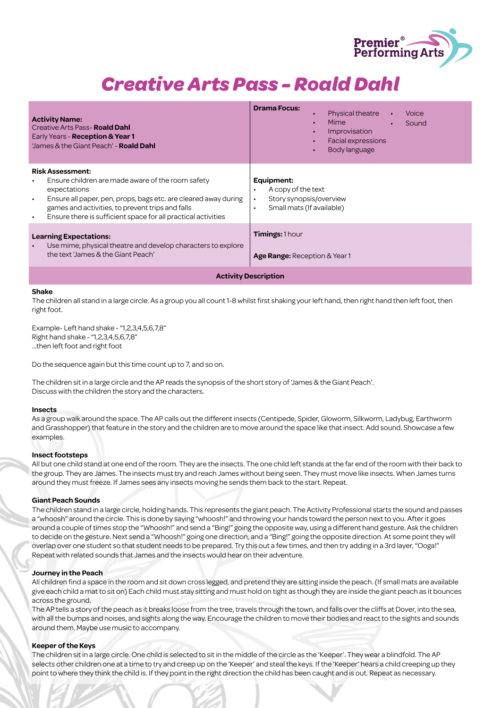

| <b>Activity Name:</b><br>Creative Arts Pass- <b>Roald Dahl</b><br>Early Years - Reception & Year 1<br>James & the Giant Peach' - <b>Roald Dahl</b>                                                                                                                                                                          | <b>Drama Focus:</b><br>Physical theatre<br>Voice<br>$\bullet$<br>Mime<br>Sound<br>Improvisation<br>Facial expressions<br>Body language<br>$\bullet$ |
|-----------------------------------------------------------------------------------------------------------------------------------------------------------------------------------------------------------------------------------------------------------------------------------------------------------------------------|-----------------------------------------------------------------------------------------------------------------------------------------------------|
| <b>Risk Assessment:</b><br>Ensure children are made aware of the room safety<br>$\bullet$<br>expectations<br>Ensure all paper, pen, props, bags etc. are cleared away during<br>$\bullet$<br>games and activities, to prevent trips and falls<br>Ensure there is sufficient space for all practical activities<br>$\bullet$ | Equipment:<br>A copy of the text<br>$\bullet$<br>Story synopsis/overview<br>$\bullet$<br>Small mats (If available)<br>$\bullet$                     |
| <b>Learning Expectations:</b><br>Use mime, physical theatre and develop characters to explore<br>$\bullet$<br>the text 'James & the Giant Peach'                                                                                                                                                                            | <b>Timings: 1 hour</b><br><b>Age Range:</b> Reception & Year 1                                                                                      |
| <b>Activity Description</b>                                                                                                                                                                                                                                                                                                 |                                                                                                                                                     |

#### **Shake**

The children all stand in a large circle. As a group you all count 1-8 whilst first shaking your left hand, then right hand then left foot, then right foot.

Example- Left hand shake - "1,2,3,4,5,6,7,8" Right hand shake - "1,2,3,4,5,6,7,8" ...then left foot and right foot

Do the sequence again but this time count up to 7, and so on.

The children sit in a large circle and the AP reads the synopsis of the short story of 'James & the Giant Peach'. Discuss with the children the story and the characters.

#### **Insects**

As a group walk around the space. The AP calls out the different insects (Centipede, Spider, Gloworm, Silkworm, Ladybug, Earthworm and Grasshopper) that feature in the story and the children are to move around the space like that insect. Add sound. Showcase a few examples.

#### **Insect footsteps**

All but one child stand at one end of the room. They are the insects. The one child left stands at the far end of the room with their back to the group. They are James. The insects must try and reach James without being seen. They must move like insects. When James turns around they must freeze. If James sees any insects moving he sends them back to the start. Repeat.

#### **Giant Peach Sounds**

The children stand in a large circle, holding hands. This represents the giant peach. The Activity Professional starts the sound and passes a "whoosh" around the circle. This is done by saying "whoosh!" and throwing your hands toward the person next to you. After it goes around a couple of times stop the "Whoosh!" and send a "Bing!" going the opposite way, using a different hand gesture. Ask the children to decide on the gesture. Next send a "Whoosh!" going one direction, and a "Bing!" going the opposite direction. At some point they will overlap over one student so that student needs to be prepared. Try this out a few times, and then try adding in a 3rd layer, "Ooga!" Repeat with related sounds that James and the insects would hear on their adventure.

#### **Journey in the Peach**

All children find a space in the room and sit down cross legged, and pretend they are sitting inside the peach. (If small mats are available give each child a mat to sit on) Each child must stay sitting and must hold on tight as though they are inside the giant peach as it bounces across the ground.

The AP tells a story of the peach as it breaks loose from the tree, travels through the town, and falls over the cliffs at Dover, into the sea, with all the bumps and noises, and sights along the way. Encourage the children to move their bodies and react to the sights and sounds around them. Maybe use music to accompany.

#### **Keeper of the Keys**

The children sit in a large circle. One child is selected to sit in the middle of the circle as the 'Keeper'. They wear a blindfold. The AP selects other children one at a time to try and creep up on the 'Keeper' and steal the keys. If the 'Keeper' hears a child creeping up they point to where they think the child is. If they point in the right direction the child has been caught and is out. Repeat as necessary.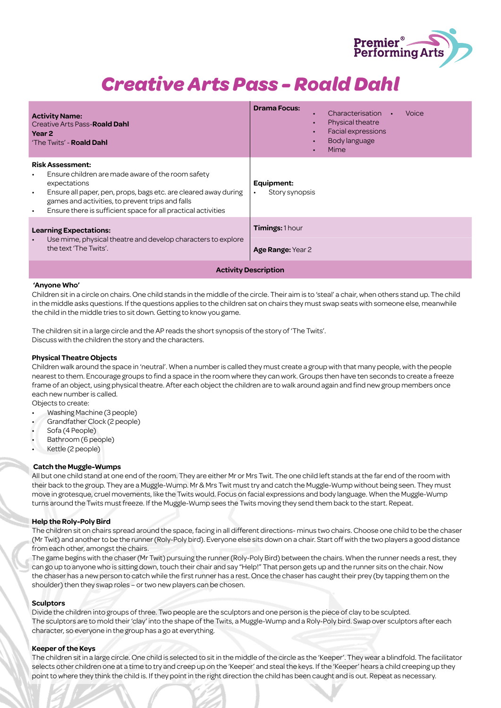

| <b>Activity Name:</b><br>Creative Arts Pass- <b>Roald Dahl</b><br>Year 2<br>'The Twits' - <b>Roald Dahl</b>                                                                                                                                                                                                         | <b>Drama Focus:</b><br>Characterisation<br>Voice<br>Physical theatre<br>Facial expressions<br><b>Body language</b><br>Mime |  |
|---------------------------------------------------------------------------------------------------------------------------------------------------------------------------------------------------------------------------------------------------------------------------------------------------------------------|----------------------------------------------------------------------------------------------------------------------------|--|
| <b>Risk Assessment:</b><br>Ensure children are made aware of the room safety<br>٠<br>expectations<br>Ensure all paper, pen, props, bags etc. are cleared away during<br>$\bullet$<br>games and activities, to prevent trips and falls<br>Ensure there is sufficient space for all practical activities<br>$\bullet$ | Equipment:<br>Story synopsis                                                                                               |  |
| <b>Learning Expectations:</b><br>Use mime, physical theatre and develop characters to explore<br>$\bullet$<br>the text 'The Twits'.                                                                                                                                                                                 | Timings: 1 hour<br>Age Range: Year 2                                                                                       |  |
| <b>Activity Description</b>                                                                                                                                                                                                                                                                                         |                                                                                                                            |  |

#### **'Anyone Who'**

Children sit in a circle on chairs. One child stands in the middle of the circle. Their aim is to 'steal' a chair, when others stand up. The child in the middle asks questions. If the questions applies to the children sat on chairs they must swap seats with someone else, meanwhile the child in the middle tries to sit down. Getting to know you game.

The children sit in a large circle and the AP reads the short synopsis of the story of 'The Twits'. Discuss with the children the story and the characters.

#### **Physical Theatre Objects**

Children walk around the space in 'neutral'. When a number is called they must create a group with that many people, with the people nearest to them. Encourage groups to find a space in the room where they can work. Groups then have ten seconds to create a freeze frame of an object, using physical theatre. After each object the children are to walk around again and find new group members once each new number is called.

Objects to create:

- Washing Machine (3 people)
- Grandfather Clock (2 people)
- Sofa (4 People)
- Bathroom (6 people)
- Kettle (2 people)

#### **Catch the Muggle-Wumps**

All but one child stand at one end of the room. They are either Mr or Mrs Twit. The one child left stands at the far end of the room with their back to the group. They are a Muggle-Wump. Mr & Mrs Twit must try and catch the Muggle-Wump without being seen. They must move in grotesque, cruel movements, like the Twits would. Focus on facial expressions and body language. When the Muggle-Wump turns around the Twits must freeze. If the Muggle-Wump sees the Twits moving they send them back to the start. Repeat.

#### **Help the Roly-Poly Bird**

The children sit on chairs spread around the space, facing in all different directions- minus two chairs. Choose one child to be the chaser (Mr Twit) and another to be the runner (Roly-Poly bird). Everyone else sits down on a chair. Start off with the two players a good distance from each other, amongst the chairs.

The game begins with the chaser (Mr Twit) pursuing the runner (Roly-Poly Bird) between the chairs. When the runner needs a rest, they can go up to anyone who is sitting down, touch their chair and say "Help!" That person gets up and the runner sits on the chair. Now the chaser has a new person to catch while the first runner has a rest. Once the chaser has caught their prey (by tapping them on the shoulder) then they swap roles – or two new players can be chosen.

#### **Sculptors**

Divide the children into groups of three. Two people are the sculptors and one person is the piece of clay to be sculpted. The sculptors are to mold their 'clay' into the shape of the Twits, a Muggle-Wump and a Roly-Poly bird. Swap over sculptors after each character, so everyone in the group has a go at everything.

#### **Keeper of the Keys**

The children sit in a large circle. One child is selected to sit in the middle of the circle as the 'Keeper'. They wear a blindfold. The facilitator selects other children one at a time to try and creep up on the 'Keeper' and steal the keys. If the 'Keeper' hears a child creeping up they point to where they think the child is. If they point in the right direction the child has been caught and is out. Repeat as necessary.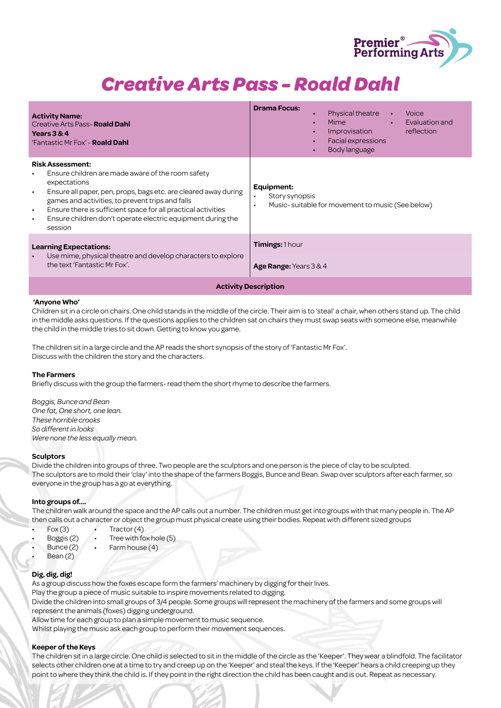

| <b>Activity Name:</b><br>Creative Arts Pass- <b>Roald Dahl</b><br>Years $3&4$<br>'Fantastic Mr Fox' - <b>Roald Dahl</b>                                                                                                                                                                                                                                                                                            | <b>Drama Focus:</b><br><b>Physical theatre</b><br>Voice<br>$\bullet$<br>Mime and the second service of the series of the series of the series of the series of the series of the series<br>Evaluation and<br>$\bullet$<br>reflection<br>Improvisation<br>Facial expressions<br>Body language<br>$\bullet$ |
|--------------------------------------------------------------------------------------------------------------------------------------------------------------------------------------------------------------------------------------------------------------------------------------------------------------------------------------------------------------------------------------------------------------------|-----------------------------------------------------------------------------------------------------------------------------------------------------------------------------------------------------------------------------------------------------------------------------------------------------------|
| <b>Risk Assessment:</b><br>Ensure children are made aware of the room safety<br>$\bullet$<br>expectations<br>Ensure all paper, pen, props, bags etc. are cleared away during<br>$\bullet$<br>games and activities, to prevent trips and falls<br>Ensure there is sufficient space for all practical activities<br>$\bullet$<br>Ensure children don't operate electric equipment during the<br>$\bullet$<br>session | Equipment:<br>Story synopsis<br>٠<br>Music-suitable for movement to music (See below)<br>$\bullet$                                                                                                                                                                                                        |
| <b>Learning Expectations:</b><br>Use mime, physical theatre and develop characters to explore<br>$\bullet$<br>the text 'Fantastic Mr Fox'.                                                                                                                                                                                                                                                                         | <b>Timings: 1 hour</b><br>Age Range: Years $3 & 4$                                                                                                                                                                                                                                                        |
| <b>Activity Description</b>                                                                                                                                                                                                                                                                                                                                                                                        |                                                                                                                                                                                                                                                                                                           |

#### **'Anyone Who'**

Children sit in a circle on chairs. One child stands in the middle of the circle. Their aim is to 'steal' a chair, when others stand up. The child in the middle asks questions. If the questions applies to the children sat on chairs they must swap seats with someone else, meanwhile the child in the middle tries to sit down. Getting to know you game.

The children sit in a large circle and the AP reads the short synopsis of the story of 'Fantastic Mr Fox'. Discuss with the children the story and the characters.

#### **The Farmers**

Briefly discuss with the group the farmers- read them the short rhyme to describe the farmers.

*Boggis, Bunce and Bean One fat, One short, one lean. These horrible crooks So different in looks Were none the less equally mean.*

#### **Sculptors**

Divide the children into groups of three. Two people are the sculptors and one person is the piece of clay to be sculpted. The sculptors are to mold their 'clay' into the shape of the farmers Boggis, Bunce and Bean. Swap over sculptors after each farmer, so everyone in the group has a go at everything.

#### **Into groups of….**

The children walk around the space and the AP calls out a number. The children must get into groups with that many people in. The AP then calls out a character or object the group must physical create using their bodies. Repeat with different sized groups

- $Fox(3)$ • Tractor (4)
	- Boggis (2) • Tree with fox hole (5)
	- Bunce (2) Farm house (4)
- Bean (2)

#### **Dig, dig, dig!**

As a group discuss how the foxes escape form the farmers' machinery by digging for their lives.

Play the group a piece of music suitable to inspire movements related to digging.

Divide the children into small groups of 3/4 people. Some groups will represent the machinery of the farmers and some groups will represent the animals (foxes) digging underground.

Allow time for each group to plan a simple movement to music sequence.

Whilst playing the music ask each group to perform their movement sequences.

#### **Keeper of the Keys**

The children sit in a large circle. One child is selected to sit in the middle of the circle as the 'Keeper'. They wear a blindfold. The facilitator selects other children one at a time to try and creep up on the 'Keeper' and steal the keys. If the 'Keeper' hears a child creeping up they point to where they think the child is. If they point in the right direction the child has been caught and is out. Repeat as necessary.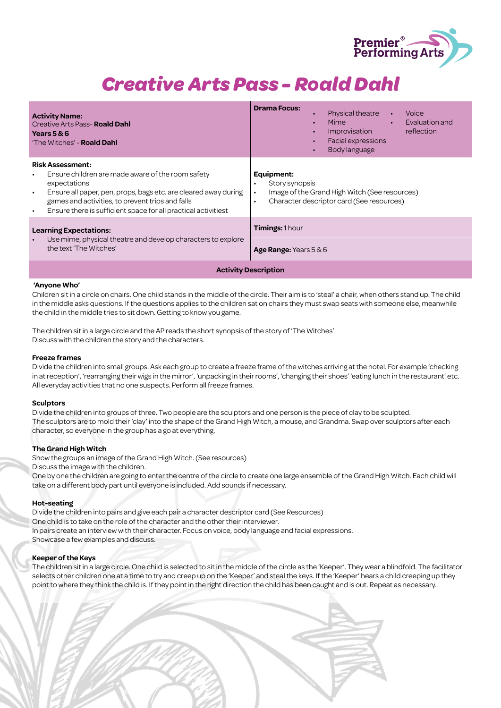

| <b>Activity Name:</b><br><b>Creative Arts Pass-Roald Dahl</b><br>Years $5 & 6$<br>'The Witches' - <b>Roald Dahl</b>                                                                                                                                                                                                          | <b>Drama Focus:</b><br><b>Physical theatre</b><br>Voice<br>$\bullet$<br>Evaluation and<br>Mime<br>$\bullet$<br>Improvisation<br>reflection<br>Facial expressions<br><b>Body language</b><br>$\bullet$ |  |
|------------------------------------------------------------------------------------------------------------------------------------------------------------------------------------------------------------------------------------------------------------------------------------------------------------------------------|-------------------------------------------------------------------------------------------------------------------------------------------------------------------------------------------------------|--|
| <b>Risk Assessment:</b><br>Ensure children are made aware of the room safety<br>$\bullet$<br>expectations<br>Ensure all paper, pen, props, bags etc. are cleared away during<br>$\bullet$<br>games and activities, to prevent trips and falls<br>Ensure there is sufficient space for all practical activitiest<br>$\bullet$ | Equipment:<br>Story synopsis<br>٠<br>Image of the Grand High Witch (See resources)<br>$\bullet$<br>Character descriptor card (See resources)<br>$\bullet$                                             |  |
| <b>Learning Expectations:</b><br>Use mime, physical theatre and develop characters to explore<br>the text 'The Witches'                                                                                                                                                                                                      | Timings: 1 hour<br><b>Age Range:</b> Years $5&6$                                                                                                                                                      |  |
| <b>Activity Description</b>                                                                                                                                                                                                                                                                                                  |                                                                                                                                                                                                       |  |

#### **'Anyone Who'**

Children sit in a circle on chairs. One child stands in the middle of the circle. Their aim is to 'steal' a chair, when others stand up. The child in the middle asks questions. If the questions applies to the children sat on chairs they must swap seats with someone else, meanwhile the child in the middle tries to sit down. Getting to know you game.

The children sit in a large circle and the AP reads the short synopsis of the story of 'The Witches'. Discuss with the children the story and the characters.

#### **Freeze frames**

Divide the children into small groups. Ask each group to create a freeze frame of the witches arriving at the hotel. For example 'checking in at reception', 'rearranging their wigs in the mirror', 'unpacking in their rooms', 'changing their shoes' 'eating lunch in the restaurant' etc. All everyday activities that no one suspects. Perform all freeze frames.

#### **Sculptors**

Divide the children into groups of three. Two people are the sculptors and one person is the piece of clay to be sculpted. The sculptors are to mold their 'clay' into the shape of the Grand High Witch, a mouse, and Grandma. Swap over sculptors after each character, so everyone in the group has a go at everything.

#### **The Grand High Witch**

Show the groups an image of the Grand High Witch. (See resources) Discuss the image with the children.

One by one the children are going to enter the centre of the circle to create one large ensemble of the Grand High Witch. Each child will take on a different body part until everyone is included. Add sounds if necessary.

#### **Hot-seating**

Divide the children into pairs and give each pair a character descriptor card (See Resources) One child is to take on the role of the character and the other their interviewer. In pairs create an interview with their character. Focus on voice, body language and facial expressions. Showcase a few examples and discuss.

#### **Keeper of the Keys**

The children sit in a large circle. One child is selected to sit in the middle of the circle as the 'Keeper'. They wear a blindfold. The facilitator selects other children one at a time to try and creep up on the 'Keeper' and steal the keys. If the 'Keeper' hears a child creeping up they point to where they think the child is. If they point in the right direction the child has been caught and is out. Repeat as necessary.